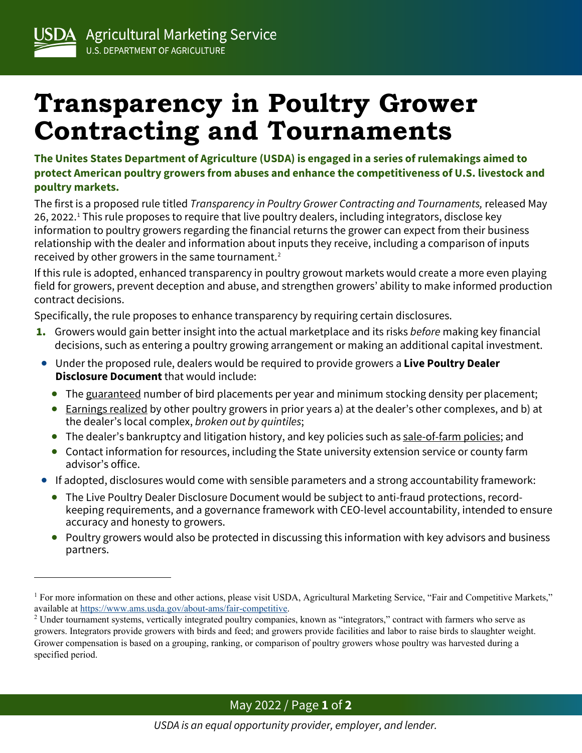## **Transparency in Poultry Grower Contracting and Tournaments**

**The Unites States Department of Agriculture (USDA) is engaged in a series of rulemakings aimed to protect American poultry growers from abuses and enhance the competitiveness of U.S. livestock and poultry markets.**

The first is a proposed rule titled *Transparency in Poultry Grower Contracting and Tournaments,* released May 26, 2022.[1](#page-0-0) This rule proposes to require that live poultry dealers, including integrators, disclose key information to poultry growers regarding the financial returns the grower can expect from their business relationship with the dealer and information about inputs they receive, including a comparison of inputs received by other growers in the same tournament.<sup>[2](#page-0-1)</sup>

If this rule is adopted, enhanced transparency in poultry growout markets would create a more even playing field for growers, prevent deception and abuse, and strengthen growers' ability to make informed production contract decisions.

Specifically, the rule proposes to enhance transparency by requiring certain disclosures.

- 1. Growers would gain better insight into the actual marketplace and its risks *before* making key financial decisions, such as entering a poultry growing arrangement or making an additional capital investment.
- Under the proposed rule, dealers would be required to provide growers a **Live Poultry Dealer Disclosure Document** that would include:
	- The guaranteed number of bird placements per year and minimum stocking density per placement;
	- Earnings realized by other poultry growers in prior years a) at the dealer's other complexes, and b) at the dealer's local complex, *broken out by quintiles*;
	- The dealer's bankruptcy and litigation history, and key policies such as sale-of-farm policies; and
	- Contact information for resources, including the State university extension service or county farm advisor's office.
- If adopted, disclosures would come with sensible parameters and a strong accountability framework:
	- The Live Poultry Dealer Disclosure Document would be subject to anti-fraud protections, recordkeeping requirements, and a governance framework with CEO-level accountability, intended to ensure accuracy and honesty to growers.
	- Poultry growers would also be protected in discussing this information with key advisors and business partners.

<span id="page-0-0"></span><sup>&</sup>lt;sup>1</sup> For more information on these and other actions, please visit USDA, Agricultural Marketing Service, "Fair and Competitive Markets," available at [https://www.ams.usda.gov/about-ams/fair-competitive.](https://www.ams.usda.gov/about-ams/fair-competitive)

<span id="page-0-1"></span><sup>&</sup>lt;sup>2</sup> Under tournament systems, vertically integrated poultry companies, known as "integrators," contract with farmers who serve as growers. Integrators provide growers with birds and feed; and growers provide facilities and labor to raise birds to slaughter weight. Grower compensation is based on a grouping, ranking, or comparison of poultry growers whose poultry was harvested during a specified period.